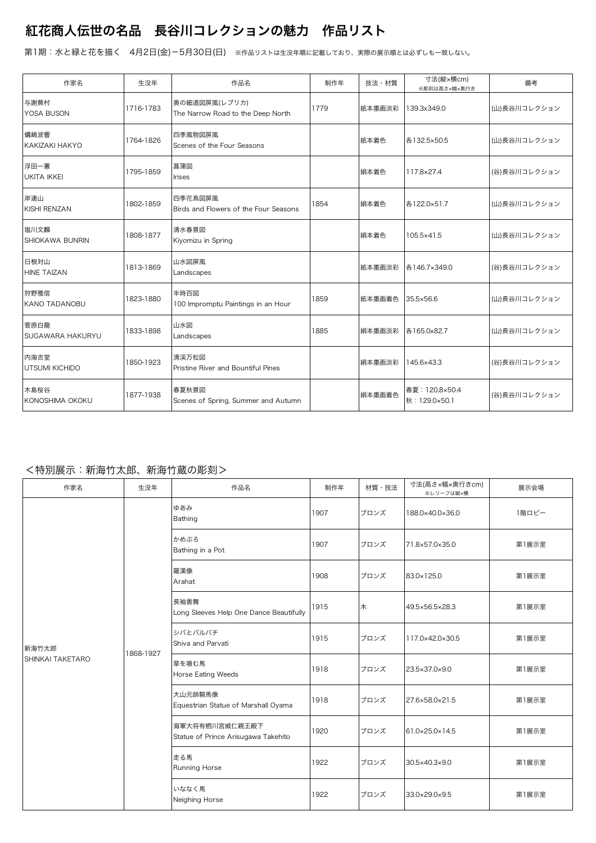## 紅花商人伝世の名品 長谷川コレクションの魅力 作品リスト

第1期:水と緑と花を描く 4月2日(金)-5月30日(日) ※作品リストは生没年順に記載しており、実際の展示順とは必ずしも一致しない。

| 作家名                            | 生没年       | 作品名                                                | 制作年  | 技法・材質  | 寸法(縦×横cm)<br>※彫刻は高さ×幅×奥行き       | 備考           |
|--------------------------------|-----------|----------------------------------------------------|------|--------|---------------------------------|--------------|
| 与謝蕪村<br>YOSA BUSON             | 1716-1783 | 奥の細道図屏風(レプリカ)<br>The Narrow Road to the Deep North | 1779 | 紙本墨画淡彩 | 139.3x349.0                     | (山)長谷川コレクション |
| 蠣崎波響<br>KAKIZAKI HAKYO         | 1764-1826 | 四季風物図屏風<br>Scenes of the Four Seasons              |      | 紙本着色   | 各132.5×50.5                     | (山)長谷川コレクション |
| 浮田一蕙<br><b>UKITA IKKEI</b>     | 1795-1859 | 菖蒲図<br><b>Irises</b>                               |      | 絹本着色   | 117.8×27.4                      | (谷)長谷川コレクション |
| 岸連山<br><b>KISHI RENZAN</b>     | 1802-1859 | 四季花鳥図屏風<br>Birds and Flowers of the Four Seasons   | 1854 | 絹本着色   | 各122.0×51.7                     | (山)長谷川コレクション |
| 塩川文麟<br><b>SHIOKAWA BUNRIN</b> | 1808-1877 | 清水春景図<br>Kiyomizu in Spring                        |      | 絹本着色   | 105.5×41.5                      | (山)長谷川コレクション |
| 日根対山<br><b>HINE TAIZAN</b>     | 1813-1869 | 山水図屏風<br>Landscapes                                |      | 紙本墨画淡彩 | 各146.7×349.0                    | (谷)長谷川コレクション |
| 狩野雅信<br><b>KANO TADANOBU</b>   | 1823-1880 | 半時百図<br>100 Impromptu Paintings in an Hour         | 1859 | 紙本墨画着色 | 35.5×56.6                       | (山)長谷川コレクション |
| 菅原白龍<br>SUGAWARA HAKURYU       | 1833-1898 | 山水図<br>Landscapes                                  | 1885 | 絹本墨画淡彩 | 各165.0x82.7                     | (山)長谷川コレクション |
| 内海吉堂<br>UTSUMI KICHIDO         | 1850-1923 | 清渓万松図<br>Pristine River and Bountiful Pines        |      | 絹本墨画淡彩 | 145.6×43.3                      | (谷)長谷川コレクション |
| 木島桜谷<br>KONOSHIMA OKOKU        | 1877-1938 | 春夏秋景図<br>Scenes of Spring, Summer and Autumn       |      | 絹本墨画着色 | 春夏: 120.8×50.4<br>秋: 129.0×50.1 | (谷)長谷川コレクション |

## <特別展示:新海竹太郎、新海竹蔵の彫刻>

| 作家名                       | 生没年       | 作品名                                                   | 制作年  | 材質・技法 | 寸法(高さ×幅×奥行きcm)<br>※レリーフは縦×横 | 展示会場  |
|---------------------------|-----------|-------------------------------------------------------|------|-------|-----------------------------|-------|
| 新海竹太郎<br>SHINKAI TAKETARO | 1868-1927 | ゆあみ<br>Bathing                                        | 1907 | ブロンズ  | 188.0×40.0×36.0             | 1階ロビー |
|                           |           | かめぶろ<br>Bathing in a Pot                              | 1907 | ブロンズ  | 71.8×57.0×35.0              | 第1展示室 |
|                           |           | 羅漢像<br>Arahat                                         | 1908 | ブロンズ  | 83.0×125.0                  | 第1展示室 |
|                           |           | 長袖善舞<br>Long Sleeves Help One Dance Beautifully       | 1915 | 木     | 49.5×56.5×28.3              | 第1展示室 |
|                           |           | シバとバルバチ<br>Shiva and Parvati                          | 1915 | ブロンズ  | 117.0×42.0×30.5             | 第1展示室 |
|                           |           | 草を喰む馬<br>Horse Eating Weeds                           | 1918 | ブロンズ  | 23.5×37.0×9.0               | 第1展示室 |
|                           |           | 大山元帥騎馬像<br>Equestrian Statue of Marshall Oyama        | 1918 | ブロンズ  | 27.6×58.0×21.5              | 第1展示室 |
|                           |           | 海軍大将有栖川宮威仁親王殿下<br>Statue of Prince Arisugawa Takehito | 1920 | ブロンズ  | 61.0×25.0×14.5              | 第1展示室 |
|                           |           | 走る馬<br>Running Horse                                  | 1922 | ブロンズ  | 30.5×40.3×9.0               | 第1展示室 |
|                           |           | いななく馬<br>Neighing Horse                               | 1922 | ブロンズ  | 33.0×29.0×9.5               | 第1展示室 |